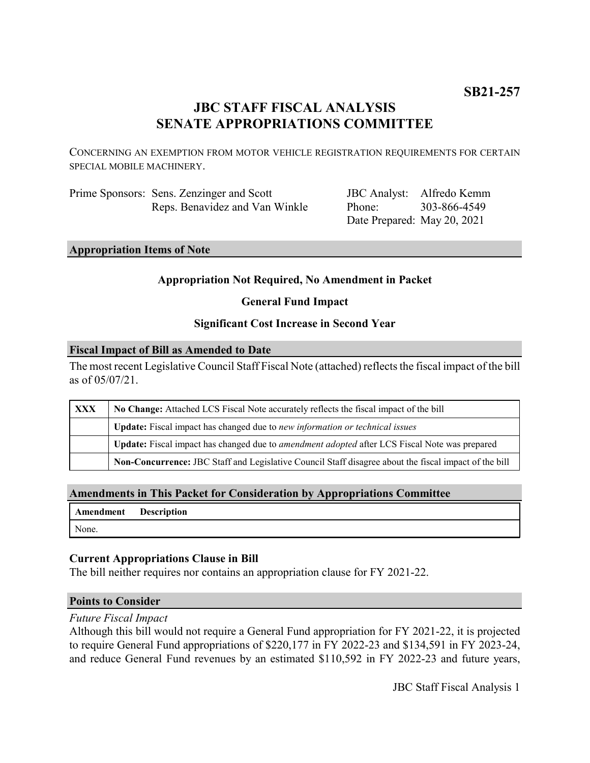## **JBC STAFF FISCAL ANALYSIS SENATE APPROPRIATIONS COMMITTEE**

CONCERNING AN EXEMPTION FROM MOTOR VEHICLE REGISTRATION REQUIREMENTS FOR CERTAIN SPECIAL MOBILE MACHINERY.

Prime Sponsors: Sens. Zenzinger and Scott Reps. Benavidez and Van Winkle

JBC Analyst: Alfredo Kemm Phone: Date Prepared: May 20, 2021 303-866-4549

**Appropriation Items of Note**

### **Appropriation Not Required, No Amendment in Packet**

**General Fund Impact**

#### **Significant Cost Increase in Second Year**

#### **Fiscal Impact of Bill as Amended to Date**

The most recent Legislative Council Staff Fiscal Note (attached) reflects the fiscal impact of the bill as of 05/07/21.

| <b>XXX</b> | No Change: Attached LCS Fiscal Note accurately reflects the fiscal impact of the bill                 |  |
|------------|-------------------------------------------------------------------------------------------------------|--|
|            | Update: Fiscal impact has changed due to new information or technical issues                          |  |
|            | Update: Fiscal impact has changed due to <i>amendment adopted</i> after LCS Fiscal Note was prepared  |  |
|            | Non-Concurrence: JBC Staff and Legislative Council Staff disagree about the fiscal impact of the bill |  |

### **Amendments in This Packet for Consideration by Appropriations Committee**

| <b>Amendment</b> Description |  |
|------------------------------|--|
| None.                        |  |

### **Current Appropriations Clause in Bill**

The bill neither requires nor contains an appropriation clause for FY 2021-22.

#### **Points to Consider**

*Future Fiscal Impact*

Although this bill would not require a General Fund appropriation for FY 2021-22, it is projected to require General Fund appropriations of \$220,177 in FY 2022-23 and \$134,591 in FY 2023-24, and reduce General Fund revenues by an estimated \$110,592 in FY 2022-23 and future years,